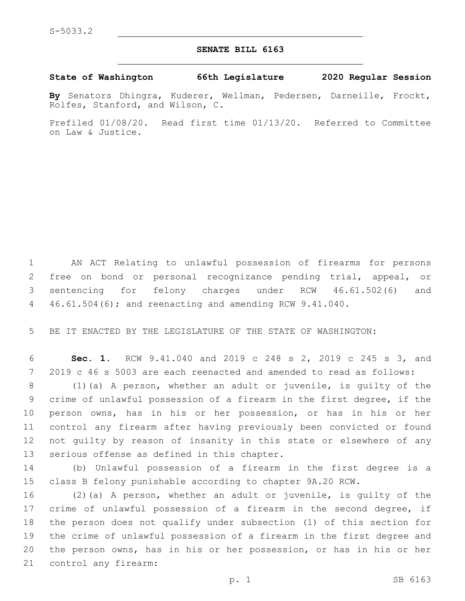## **SENATE BILL 6163**

## **State of Washington 66th Legislature 2020 Regular Session**

**By** Senators Dhingra, Kuderer, Wellman, Pedersen, Darneille, Frockt, Rolfes, Stanford, and Wilson, C.

Prefiled 01/08/20. Read first time 01/13/20. Referred to Committee on Law & Justice.

 AN ACT Relating to unlawful possession of firearms for persons free on bond or personal recognizance pending trial, appeal, or sentencing for felony charges under RCW 46.61.502(6) and 46.61.504(6); and reenacting and amending RCW 9.41.040.

BE IT ENACTED BY THE LEGISLATURE OF THE STATE OF WASHINGTON:

 **Sec. 1.** RCW 9.41.040 and 2019 c 248 s 2, 2019 c 245 s 3, and 2019 c 46 s 5003 are each reenacted and amended to read as follows:

 (1)(a) A person, whether an adult or juvenile, is guilty of the crime of unlawful possession of a firearm in the first degree, if the person owns, has in his or her possession, or has in his or her control any firearm after having previously been convicted or found not guilty by reason of insanity in this state or elsewhere of any 13 serious offense as defined in this chapter.

 (b) Unlawful possession of a firearm in the first degree is a class B felony punishable according to chapter 9A.20 RCW.

 (2)(a) A person, whether an adult or juvenile, is guilty of the 17 crime of unlawful possession of a firearm in the second degree, if the person does not qualify under subsection (1) of this section for the crime of unlawful possession of a firearm in the first degree and the person owns, has in his or her possession, or has in his or her 21 control any firearm: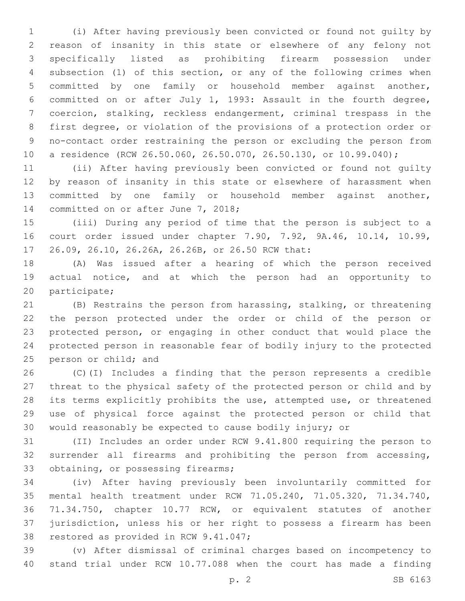(i) After having previously been convicted or found not guilty by reason of insanity in this state or elsewhere of any felony not specifically listed as prohibiting firearm possession under subsection (1) of this section, or any of the following crimes when committed by one family or household member against another, committed on or after July 1, 1993: Assault in the fourth degree, coercion, stalking, reckless endangerment, criminal trespass in the first degree, or violation of the provisions of a protection order or no-contact order restraining the person or excluding the person from a residence (RCW 26.50.060, 26.50.070, 26.50.130, or 10.99.040);

 (ii) After having previously been convicted or found not guilty by reason of insanity in this state or elsewhere of harassment when committed by one family or household member against another, 14 committed on or after June 7, 2018;

 (iii) During any period of time that the person is subject to a court order issued under chapter 7.90, 7.92, 9A.46, 10.14, 10.99, 17 26.09, 26.10, 26.26A, 26.26B, or 26.50 RCW that:

 (A) Was issued after a hearing of which the person received actual notice, and at which the person had an opportunity to 20 participate;

 (B) Restrains the person from harassing, stalking, or threatening the person protected under the order or child of the person or protected person, or engaging in other conduct that would place the protected person in reasonable fear of bodily injury to the protected 25 person or child; and

 (C)(I) Includes a finding that the person represents a credible threat to the physical safety of the protected person or child and by its terms explicitly prohibits the use, attempted use, or threatened use of physical force against the protected person or child that would reasonably be expected to cause bodily injury; or

 (II) Includes an order under RCW 9.41.800 requiring the person to surrender all firearms and prohibiting the person from accessing, 33 obtaining, or possessing firearms;

 (iv) After having previously been involuntarily committed for mental health treatment under RCW 71.05.240, 71.05.320, 71.34.740, 71.34.750, chapter 10.77 RCW, or equivalent statutes of another jurisdiction, unless his or her right to possess a firearm has been 38 restored as provided in RCW 9.41.047;

 (v) After dismissal of criminal charges based on incompetency to stand trial under RCW 10.77.088 when the court has made a finding

p. 2 SB 6163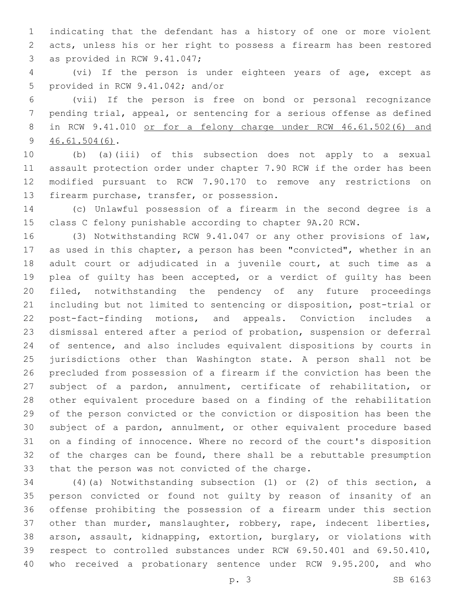indicating that the defendant has a history of one or more violent acts, unless his or her right to possess a firearm has been restored 3 as provided in RCW 9.41.047;

 (vi) If the person is under eighteen years of age, except as 5 provided in RCW 9.41.042; and/or

 (vii) If the person is free on bond or personal recognizance pending trial, appeal, or sentencing for a serious offense as defined 8 in RCW 9.41.010 or for a felony charge under RCW 46.61.502(6) and  $9, 46.61.504(6)$ .

 (b) (a)(iii) of this subsection does not apply to a sexual assault protection order under chapter 7.90 RCW if the order has been modified pursuant to RCW 7.90.170 to remove any restrictions on 13 firearm purchase, transfer, or possession.

 (c) Unlawful possession of a firearm in the second degree is a class C felony punishable according to chapter 9A.20 RCW.

 (3) Notwithstanding RCW 9.41.047 or any other provisions of law, as used in this chapter, a person has been "convicted", whether in an adult court or adjudicated in a juvenile court, at such time as a plea of guilty has been accepted, or a verdict of guilty has been filed, notwithstanding the pendency of any future proceedings including but not limited to sentencing or disposition, post-trial or post-fact-finding motions, and appeals. Conviction includes a dismissal entered after a period of probation, suspension or deferral of sentence, and also includes equivalent dispositions by courts in jurisdictions other than Washington state. A person shall not be precluded from possession of a firearm if the conviction has been the subject of a pardon, annulment, certificate of rehabilitation, or other equivalent procedure based on a finding of the rehabilitation of the person convicted or the conviction or disposition has been the subject of a pardon, annulment, or other equivalent procedure based on a finding of innocence. Where no record of the court's disposition of the charges can be found, there shall be a rebuttable presumption 33 that the person was not convicted of the charge.

 (4)(a) Notwithstanding subsection (1) or (2) of this section, a person convicted or found not guilty by reason of insanity of an offense prohibiting the possession of a firearm under this section other than murder, manslaughter, robbery, rape, indecent liberties, arson, assault, kidnapping, extortion, burglary, or violations with respect to controlled substances under RCW 69.50.401 and 69.50.410, who received a probationary sentence under RCW 9.95.200, and who

p. 3 SB 6163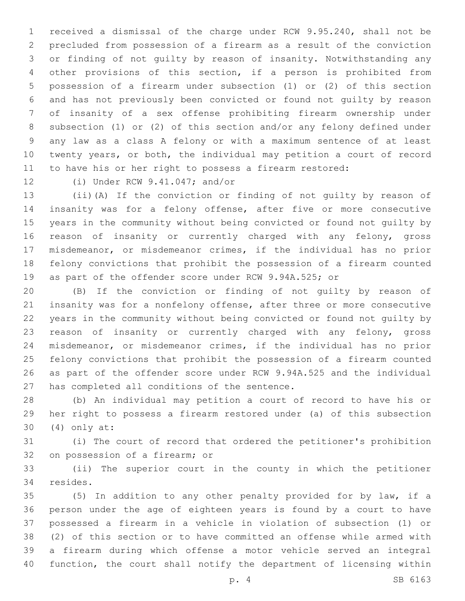received a dismissal of the charge under RCW 9.95.240, shall not be precluded from possession of a firearm as a result of the conviction or finding of not guilty by reason of insanity. Notwithstanding any other provisions of this section, if a person is prohibited from possession of a firearm under subsection (1) or (2) of this section and has not previously been convicted or found not guilty by reason of insanity of a sex offense prohibiting firearm ownership under subsection (1) or (2) of this section and/or any felony defined under any law as a class A felony or with a maximum sentence of at least twenty years, or both, the individual may petition a court of record to have his or her right to possess a firearm restored:

12 (i) Under RCW 9.41.047; and/or

 (ii)(A) If the conviction or finding of not guilty by reason of insanity was for a felony offense, after five or more consecutive years in the community without being convicted or found not guilty by reason of insanity or currently charged with any felony, gross misdemeanor, or misdemeanor crimes, if the individual has no prior felony convictions that prohibit the possession of a firearm counted as part of the offender score under RCW 9.94A.525; or

 (B) If the conviction or finding of not guilty by reason of insanity was for a nonfelony offense, after three or more consecutive years in the community without being convicted or found not guilty by reason of insanity or currently charged with any felony, gross misdemeanor, or misdemeanor crimes, if the individual has no prior felony convictions that prohibit the possession of a firearm counted as part of the offender score under RCW 9.94A.525 and the individual 27 has completed all conditions of the sentence.

 (b) An individual may petition a court of record to have his or her right to possess a firearm restored under (a) of this subsection (4) only at:30

 (i) The court of record that ordered the petitioner's prohibition 32 on possession of a firearm; or

 (ii) The superior court in the county in which the petitioner 34 resides.

 (5) In addition to any other penalty provided for by law, if a person under the age of eighteen years is found by a court to have possessed a firearm in a vehicle in violation of subsection (1) or (2) of this section or to have committed an offense while armed with a firearm during which offense a motor vehicle served an integral function, the court shall notify the department of licensing within